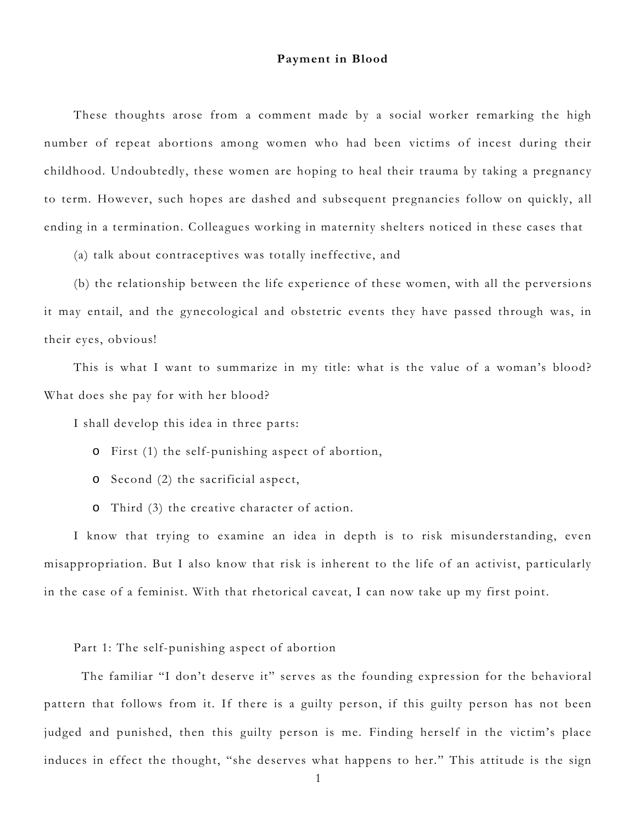## **Payment in Blood**

These thoughts arose from a comment made by a social worker remarking the high number of repeat abortions among women who had been victims of incest during their childhood. Undoubtedly, these women are hoping to heal their trauma by taking a pregnancy to term. However, such hopes are dashed and subsequent pregnancies follow on quickly, all ending in a termination. Colleagues working in maternity shelters noticed in these cases that

(a) talk about contraceptives was totally ineffective, and

(b) the relationship between the life experience of these women, with all the perversions it may entail, and the gynecological and obstetric events they have passed through was, in their eyes, obvious!

This is what I want to summarize in my title: what is the value of a woman's blood? What does she pay for with her blood?

I shall develop this idea in three parts:

- o First (1) the self-punishing aspect of abortion,
- o Second (2) the sacrificial aspect,
- o Third (3) the creative character of action.

I know that trying to examine an idea in depth is to risk misunderstanding, even misappropriation. But I also know that risk is inherent to the life of an activist, particularly in the case of a feminist. With that rhetorical caveat, I can now take up my first point.

Part 1: The self-punishing aspect of abortion

 The familiar "I don't deserve it" serves as the founding expression for the behavioral pattern that follows from it. If there is a guilty person, if this guilty person has not been judged and punished, then this guilty person is me. Finding herself in the victim's place induces in effect the thought, "she deserves what happens to her." This attitude is the sign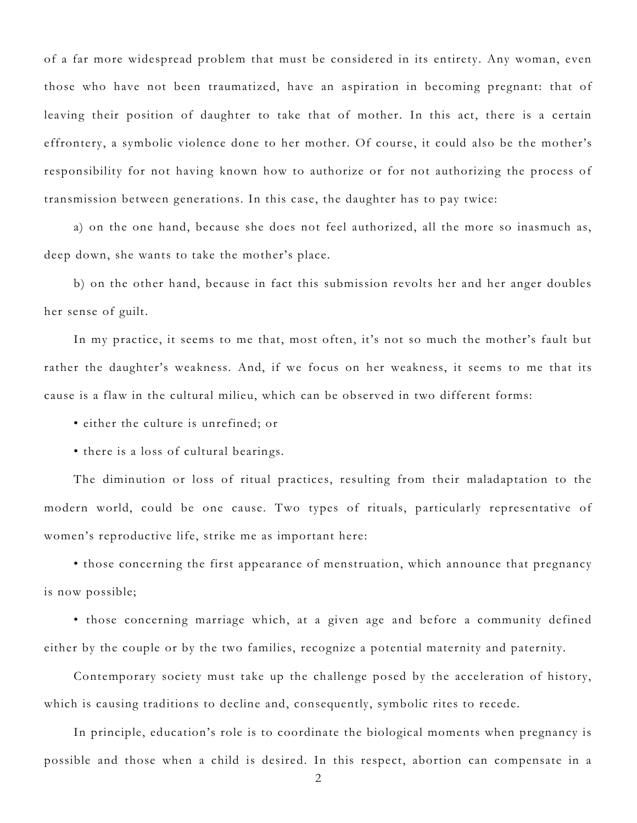of a far more widespread problem that must be considered in its entirety. Any woman, even those who have not been traumatized, have an aspiration in becoming pregnant: that of leaving their position of daughter to take that of mother. In this act, there is a certain effrontery, a symbolic violence done to her mother. Of course, it could also be the mother's responsibility for not having known how to authorize or for not authorizing the process of transmission between generations. In this case, the daughter has to pay twice:

a) on the one hand, because she does not feel authorized, all the more so inasmuch as, deep down, she wants to take the mother's place.

b) on the other hand, because in fact this submission revolts her and her anger doubles her sense of guilt.

In my practice, it seems to me that, most often, it's not so much the mother's fault but rather the daughter's weakness. And, if we focus on her weakness, it seems to me that its cause is a flaw in the cultural milieu, which can be observed in two different forms:

• either the culture is unrefined; or

• there is a loss of cultural bearings.

The diminution or loss of ritual practices, resulting from their maladaptation to the modern world, could be one cause. Two types of rituals, particularly representative of women's reproductive life, strike me as important here:

• those concerning the first appearance of menstruation, which announce that pregnancy is now possible;

• those concerning marriage which, at a given age and before a community defined either by the couple or by the two families, recognize a potential maternity and paternity.

Contemporary society must take up the challenge posed by the acceleration of history, which is causing traditions to decline and, consequently, symbolic rites to recede.

In principle, education's role is to coordinate the biological moments when pregnancy is possible and those when a child is desired. In this respect, abortion can compensate in a

2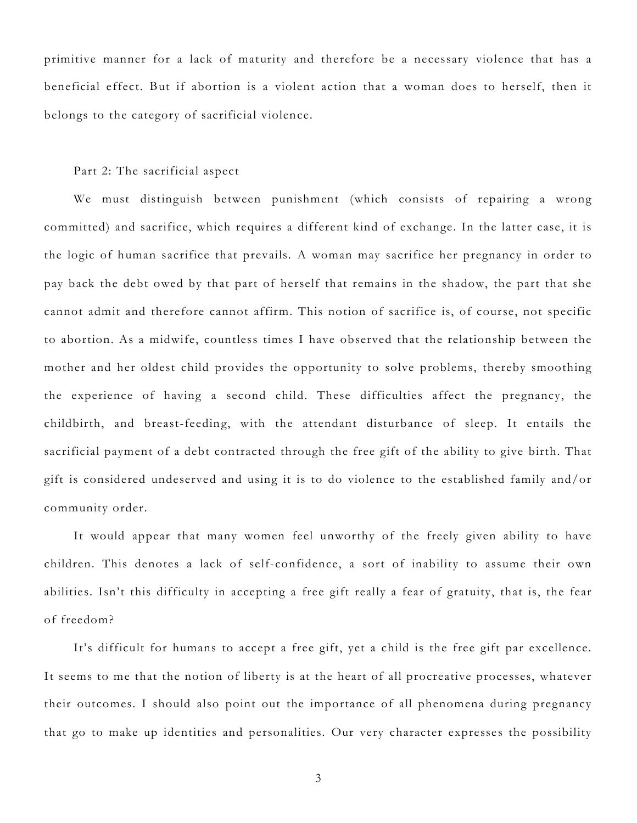primitive manner for a lack of maturity and therefore be a necessary violence that has a beneficial effect. But if abortion is a violent action that a woman does to herself, then it belongs to the category of sacrificial violence.

## Part 2: The sacrificial aspect

We must distinguish between punishment (which consists of repairing a wrong committed) and sacrifice, which requires a different kind of exchange. In the latter case, it is the logic of human sacrifice that prevails. A woman may sacrifice her pregnancy in order to pay back the debt owed by that part of herself that remains in the shadow, the part that she cannot admit and therefore cannot affirm. This notion of sacrifice is, of course, not specific to abortion. As a midwife, countless times I have observed that the relationship between the mother and her oldest child provides the opportunity to solve problems, thereby smoothing the experience of having a second child. These difficulties affect the pregnancy, the childbirth, and breast-feeding, with the attendant disturbance of sleep. It entails the sacrificial payment of a debt contracted through the free gift of the ability to give birth. That gift is considered undeserved and using it is to do violence to the established family and/or community order.

It would appear that many women feel unworthy of the freely given ability to have children. This denotes a lack of self-confidence, a sort of inability to assume their own abilities. Isn't this difficulty in accepting a free gift really a fear of gratuity, that is, the fear of freedom?

It's difficult for humans to accept a free gift, yet a child is the free gift par excellence. It seems to me that the notion of liberty is at the heart of all procreative processes, whatever their outcomes. I should also point out the importance of all phenomena during pregnancy that go to make up identities and personalities. Our very character expresses the possibility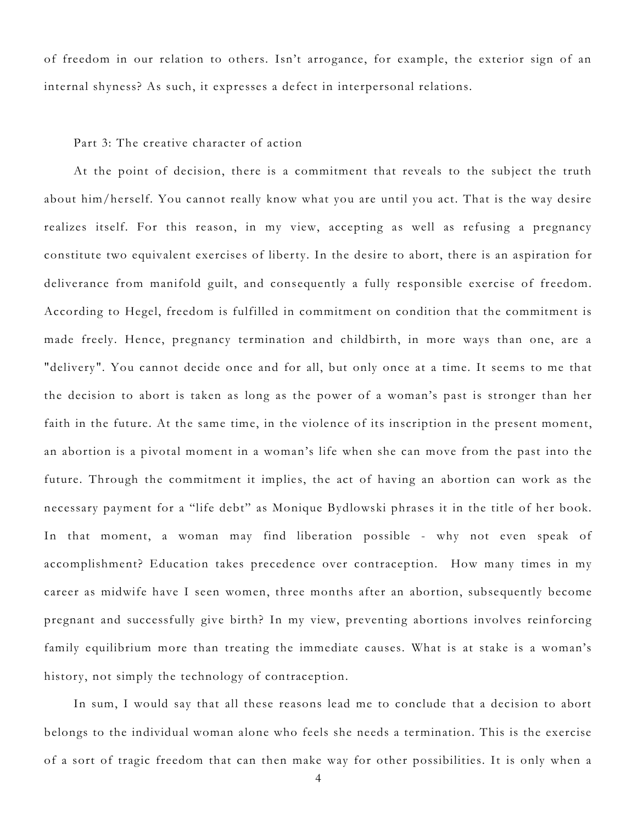of freedom in our relation to others. Isn't arrogance, for example, the exterior sign of an internal shyness? As such, it expresses a defect in interpersonal relations.

## Part 3: The creative character of action

At the point of decision, there is a commitment that reveals to the subject the truth about him/herself. You cannot really know what you are until you act. That is the way desire realizes itself. For this reason, in my view, accepting as well as refusing a pregnancy constitute two equivalent exercises of liberty. In the desire to abort, there is an aspiration for deliverance from manifold guilt, and consequently a fully responsible exercise of freedom. According to Hegel, freedom is fulfilled in commitment on condition that the commitment is made freely. Hence, pregnancy termination and childbirth, in more ways than one, are a "delivery". You cannot decide once and for all, but only once at a time. It seems to me that the decision to abort is taken as long as the power of a woman's past is stronger than her faith in the future. At the same time, in the violence of its inscription in the present moment, an abortion is a pivotal moment in a woman's life when she can move from the past into the future. Through the commitment it implies, the act of having an abortion can work as the necessary payment for a "life debt" as Monique Bydlowski phrases it in the title of her book. In that moment, a woman may find liberation possible - why not even speak of accomplishment? Education takes precedence over contraception. How many times in my career as midwife have I seen women, three months after an abortion, subsequently become pregnant and successfully give birth? In my view, preventing abortions involves reinforcing family equilibrium more than treating the immediate causes. What is at stake is a woman's history, not simply the technology of contraception.

In sum, I would say that all these reasons lead me to conclude that a decision to abort belongs to the individual woman alone who feels she needs a termination. This is the exercise of a sort of tragic freedom that can then make way for other possibilities. It is only when a